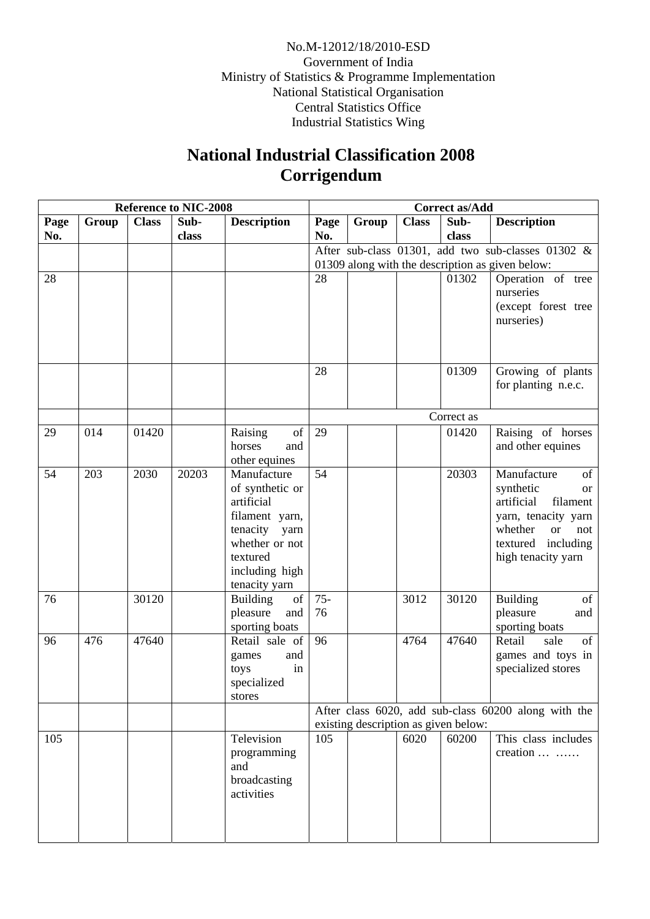No.M-12012/18/2010-ESD Government of India Ministry of Statistics & Programme Implementation National Statistical Organisation Central Statistics Office Industrial Statistics Wing

## **National Industrial Classification 2008 Corrigendum**

|      | <b>Reference to NIC-2008</b> |              |       |                                  |                                                  | <b>Correct as/Add</b> |              |       |                                                      |  |
|------|------------------------------|--------------|-------|----------------------------------|--------------------------------------------------|-----------------------|--------------|-------|------------------------------------------------------|--|
| Page | Group                        | <b>Class</b> | Sub-  | <b>Description</b>               | Page                                             | Group                 | <b>Class</b> | Sub-  | <b>Description</b>                                   |  |
| No.  |                              |              | class |                                  | No.                                              |                       |              | class |                                                      |  |
|      |                              |              |       |                                  |                                                  |                       |              |       | After sub-class 01301, add two sub-classes 01302 &   |  |
|      |                              |              |       |                                  | 01309 along with the description as given below: |                       |              |       |                                                      |  |
| 28   |                              |              |       |                                  | 28                                               |                       |              | 01302 | Operation of tree                                    |  |
|      |                              |              |       |                                  |                                                  |                       |              |       | nurseries                                            |  |
|      |                              |              |       |                                  |                                                  |                       |              |       | (except forest tree                                  |  |
|      |                              |              |       |                                  |                                                  |                       |              |       | nurseries)                                           |  |
|      |                              |              |       |                                  |                                                  |                       |              |       |                                                      |  |
|      |                              |              |       |                                  |                                                  |                       |              |       |                                                      |  |
|      |                              |              |       |                                  | 28                                               |                       |              | 01309 | Growing of plants                                    |  |
|      |                              |              |       |                                  |                                                  |                       |              |       | for planting n.e.c.                                  |  |
|      |                              |              |       |                                  |                                                  |                       |              |       |                                                      |  |
|      |                              |              |       |                                  | Correct as                                       |                       |              |       |                                                      |  |
| 29   | 014                          | 01420        |       | of<br>Raising                    | 29                                               |                       |              | 01420 | Raising of horses                                    |  |
|      |                              |              |       | horses<br>and                    |                                                  |                       |              |       | and other equines                                    |  |
|      |                              |              |       | other equines                    |                                                  |                       |              |       |                                                      |  |
| 54   | 203                          | 2030         | 20203 | Manufacture                      | 54                                               |                       |              | 20303 | Manufacture<br>of<br>synthetic                       |  |
|      |                              |              |       | of synthetic or<br>artificial    |                                                  |                       |              |       | <b>or</b><br>artificial<br>filament                  |  |
|      |                              |              |       | filament yarn,                   |                                                  |                       |              |       | yarn, tenacity yarn                                  |  |
|      |                              |              |       | tenacity<br>yarn                 |                                                  |                       |              |       | whether<br>not<br><b>or</b>                          |  |
|      |                              |              |       | whether or not                   |                                                  |                       |              |       | textured including                                   |  |
|      |                              |              |       | textured                         |                                                  |                       |              |       | high tenacity yarn                                   |  |
|      |                              |              |       | including high                   |                                                  |                       |              |       |                                                      |  |
|      |                              |              |       | tenacity yarn                    |                                                  |                       |              |       |                                                      |  |
| 76   |                              | 30120        |       | of<br><b>Building</b>            | $75 -$                                           |                       | 3012         | 30120 | Building<br>of                                       |  |
|      |                              |              |       | pleasure<br>and                  | 76                                               |                       |              |       | pleasure<br>and                                      |  |
| 96   | 476                          | 47640        |       | sporting boats<br>Retail sale of | 96                                               |                       | 4764         | 47640 | sporting boats<br>Retail<br>of<br>sale               |  |
|      |                              |              |       | and<br>games                     |                                                  |                       |              |       | games and toys in                                    |  |
|      |                              |              |       | in<br>toys                       |                                                  |                       |              |       | specialized stores                                   |  |
|      |                              |              |       | specialized                      |                                                  |                       |              |       |                                                      |  |
|      |                              |              |       | stores                           |                                                  |                       |              |       |                                                      |  |
|      |                              |              |       |                                  |                                                  |                       |              |       | After class 6020, add sub-class 60200 along with the |  |
|      |                              |              |       |                                  | existing description as given below:             |                       |              |       |                                                      |  |
| 105  |                              |              |       | Television                       | 105                                              |                       | 6020         | 60200 | This class includes                                  |  |
|      |                              |              |       | programming                      |                                                  |                       |              |       | creation                                             |  |
|      |                              |              |       | and                              |                                                  |                       |              |       |                                                      |  |
|      |                              |              |       | broadcasting<br>activities       |                                                  |                       |              |       |                                                      |  |
|      |                              |              |       |                                  |                                                  |                       |              |       |                                                      |  |
|      |                              |              |       |                                  |                                                  |                       |              |       |                                                      |  |
|      |                              |              |       |                                  |                                                  |                       |              |       |                                                      |  |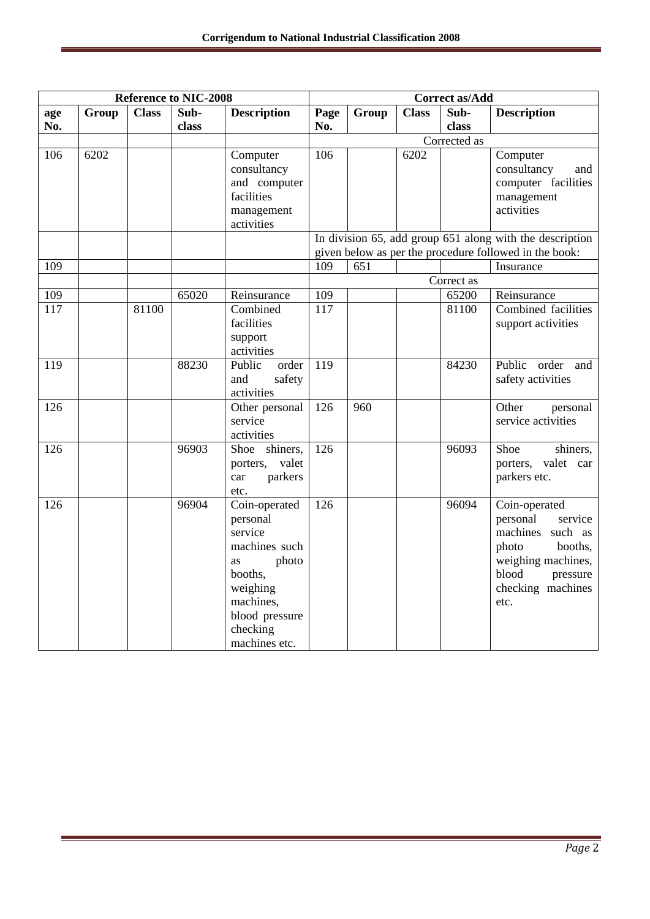| <b>Reference to NIC-2008</b> |       |              |       | <b>Correct as/Add</b> |              |       |              |            |                                                          |
|------------------------------|-------|--------------|-------|-----------------------|--------------|-------|--------------|------------|----------------------------------------------------------|
| age                          | Group | <b>Class</b> | Sub-  | <b>Description</b>    | Page         | Group | <b>Class</b> | Sub-       | <b>Description</b>                                       |
| No.                          |       |              | class |                       | No.          |       |              | class      |                                                          |
|                              |       |              |       |                       | Corrected as |       |              |            |                                                          |
| 106                          | 6202  |              |       | Computer              | 106          |       | 6202         |            | Computer                                                 |
|                              |       |              |       | consultancy           |              |       |              |            | consultancy<br>and                                       |
|                              |       |              |       | and computer          |              |       |              |            | computer facilities                                      |
|                              |       |              |       | facilities            |              |       |              |            | management                                               |
|                              |       |              |       | management            |              |       |              |            | activities                                               |
|                              |       |              |       | activities            |              |       |              |            |                                                          |
|                              |       |              |       |                       |              |       |              |            | In division 65, add group 651 along with the description |
|                              |       |              |       |                       |              |       |              |            | given below as per the procedure followed in the book:   |
| 109                          |       |              |       |                       | 109          | 651   |              |            | Insurance                                                |
|                              |       |              |       |                       |              |       |              | Correct as |                                                          |
| 109                          |       |              | 65020 | Reinsurance           | 109          |       |              | 65200      | Reinsurance                                              |
| 117                          |       | 81100        |       | Combined              | 117          |       |              | 81100      | Combined facilities                                      |
|                              |       |              |       | facilities            |              |       |              |            | support activities                                       |
|                              |       |              |       | support               |              |       |              |            |                                                          |
|                              |       |              |       | activities            |              |       |              |            |                                                          |
| 119                          |       |              | 88230 | order<br>Public       | 119          |       |              | 84230      | Public<br>order<br>and                                   |
|                              |       |              |       | and<br>safety         |              |       |              |            | safety activities                                        |
|                              |       |              |       | activities            |              |       |              |            |                                                          |
| 126                          |       |              |       | Other personal        | 126          | 960   |              |            | Other<br>personal                                        |
|                              |       |              |       | service               |              |       |              |            | service activities                                       |
|                              |       |              |       | activities            |              |       |              |            |                                                          |
| 126                          |       |              | 96903 | shiners,<br>Shoe      | 126          |       |              | 96093      | Shoe<br>shiners,                                         |
|                              |       |              |       | porters, valet        |              |       |              |            | porters, valet car                                       |
|                              |       |              |       | parkers<br>car        |              |       |              |            | parkers etc.                                             |
|                              |       |              |       | etc.                  |              |       |              |            |                                                          |
| 126                          |       |              | 96904 | Coin-operated         | 126          |       |              | 96094      | Coin-operated                                            |
|                              |       |              |       | personal              |              |       |              |            | personal<br>service                                      |
|                              |       |              |       | service               |              |       |              |            | machines such as                                         |
|                              |       |              |       | machines such         |              |       |              |            | booths,<br>photo                                         |
|                              |       |              |       | photo<br><b>as</b>    |              |       |              |            | weighing machines,                                       |
|                              |       |              |       | booths,               |              |       |              |            | blood<br>pressure                                        |
|                              |       |              |       | weighing              |              |       |              |            | checking machines                                        |
|                              |       |              |       | machines,             |              |       |              |            | etc.                                                     |
|                              |       |              |       | blood pressure        |              |       |              |            |                                                          |
|                              |       |              |       | checking              |              |       |              |            |                                                          |
|                              |       |              |       | machines etc.         |              |       |              |            |                                                          |